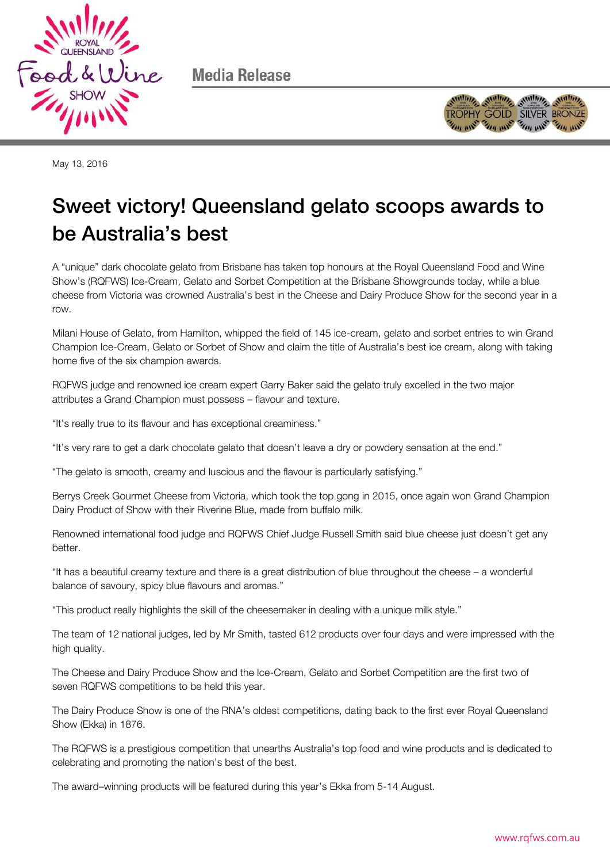

Media Release



May 13, 2016

# Sweet victory! Queensland gelato scoops awards to<br>be Australia's best be Australia's best

A "unique" dark chocolate gelato from Brisbane has taken top honours at the Royal Queensland Food and Wine Show's (RQFWS) Ice-Cream, Gelato and Sorbet Competition at the Brisbane Showgrounds today, while a blue cheese from Victoria was crowned Australia's best in the Cheese and Dairy Produce Show for the second year in a row.

Milani House of Gelato, from Hamilton, whipped the field of 145 ice-cream, gelato and sorbet entries to win Grand Champion Ice-Cream, Gelato or Sorbet of Show and claim the title of Australia's best ice cream, along with taking home five of the six champion awards.

RQFWS judge and renowned ice cream expert Garry Baker said the gelato truly excelled in the two major attributes a Grand Champion must possess – flavour and texture.

"It's really true to its flavour and has exceptional creaminess."

"It's very rare to get a dark chocolate gelato that doesn't leave a dry or powdery sensation at the end."

"The gelato is smooth, creamy and luscious and the flavour is particularly satisfying."

Berrys Creek Gourmet Cheese from Victoria, which took the top gong in 2015, once again won Grand Champion Dairy Product of Show with their Riverine Blue, made from buffalo milk.

Renowned international food judge and RQFWS Chief Judge Russell Smith said blue cheese just doesn't get any better.

"It has a beautiful creamy texture and there is a great distribution of blue throughout the cheese – a wonderful balance of savoury, spicy blue flavours and aromas."

"This product really highlights the skill of the cheesemaker in dealing with a unique milk style."

The team of 12 national judges, led by Mr Smith, tasted 612 products over four days and were impressed with the high quality.

The Cheese and Dairy Produce Show and the Ice-Cream, Gelato and Sorbet Competition are the first two of seven RQFWS competitions to be held this year.

The Dairy Produce Show is one of the RNA's oldest competitions, dating back to the first ever Royal Queensland Show (Ekka) in 1876.

The RQFWS is a prestigious competition that unearths Australia's top food and wine products and is dedicated to celebrating and promoting the nation's best of the best.

The award–winning products will be featured during this year's Ekka from 5-14 August.